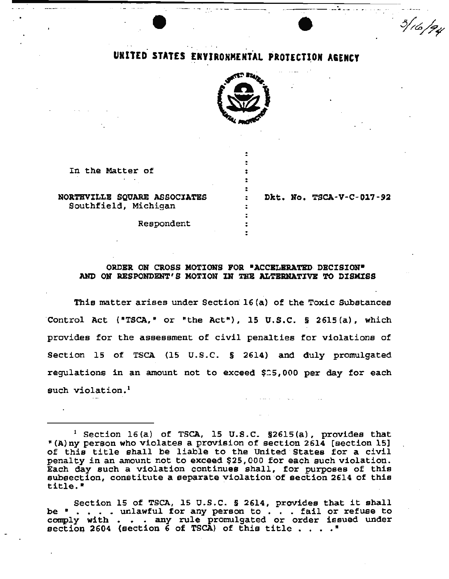# • UNITED STATES ERVIRONMENTAL PROTECTION AGENCY

 $-$ 



: . .

÷

In the Matter of

NORTHVILLE SQUARE ASSOCIATES Southfield, Michigan

Dkt. No. TSCA-V-C-017·92

and the control of

 $3/16/74$ 

Respondent

## ORDBR ON CROSS MOTIONS FOR •ACCBLBRATBD. DBCISION• AND O:N RESPONDENT'S MOTION IN THB ALTERNATIVE *'1'0* DISMISS

This matter arises under Section  $16$  (a) of the Toxic Substances ·control Act ("TSCA,• or "the Act"}, 15 u.s.c. § 2615(a), which provides for the assessment of civil penalties for violations of Section 15 of TSCA (15 U.S.C. § 2614) and duly promulgated regulations in an amount not to exceed \$15,000 per day for each such violation.<sup>1</sup>

 $<sup>1</sup>$  Section 16(a) of TSCA, 15 U.S.C. §2615(a), provides that</sup> "(A)ny person who violates a provision of section 2614 [section 15] "(A) my person who violates a provision of section 2614 (section 15)<br>of this title shall be liable to the United States for a civil penalty in an amount not to exceed \$25,000 for each such violation. Each day such a violation continues shall, for purposes of this subsection, constitute a separate violation of section 2614 of this subsection, constitute a separate v<br>title.<mark>"</mark>

Section 15 of TSCA, 15 U.S.C. § 2614, provides that it shall be  $\cdot$  . . . . unlawful for any person to . . . fail or refuse to comply with . . . any rule promulgated or order issued under<br>section 2604 (section 6 of TSCA) of this title . . . ."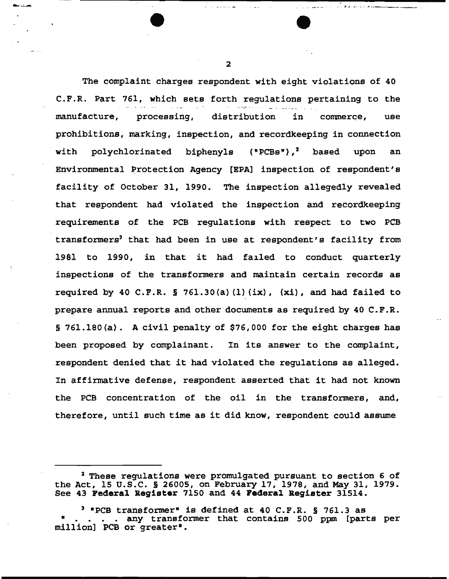The complaint charges respondent with eight violations of 40 C.P.R. Part 761, which sets forth regulations pertaining to the manufacture, processing, distribution in commerce, use prohibitions, marking, inspection, and recordkeeping in connection with polychlorinated biphenyls ("PCBs"),<sup>2</sup> based upon an Environmental Protection Agency [BPA] inspection of respondent's facility of October 31, 1990. The inspection allegedly revealed that respondent had violated the inspection and recordkeeping requirements of the PCB regulations with respect to two PCB transformers<sup>3</sup> that had been in use at respondent's facility from 1981 to 1990, in that it had fa1led to conduct quarterly inspections of the transformers and maintain certain records as required by 40 C.F.R. § 761.30(a)(1)(ix),  $(xi)$ , and had failed to prepare annual reports and other documents as required by 40 C.P.R. § 761.180(a). A civil penalty of \$76,000 for the eight charges has been proposed by complainant. In its answer to the complaint, respondent denied that it had violated the regulations as alleged. In affirmative defense, respondent asserted that it had not known the PCB concentration of the oil in the transformers, and, therefore, until such time as it did know, respondent could assume

2

--'-- . . *,\_* -·· - ·· -----

<sup>&</sup>lt;sup>2</sup> These regulations were promulgated pursuant to section 6 of the Act, 15 U.S.C. § 26005, on February 17, 1978, and May 31, 1979. See 43 **Pederal Register** 7150 and 44 **Pederal Register** 31514.

<sup>3 &</sup>quot;PCB transformer• is defined at 40 C.F.R. § 761.3 as • • • • • any transformer that contains 500 ppm [parts per million] PCB or greater•.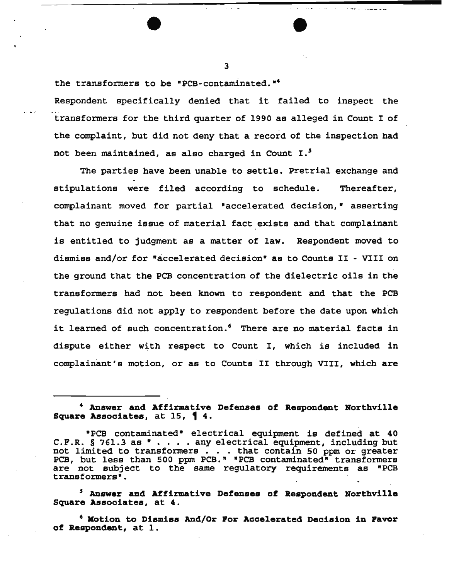the transformers to be "PCB-contaminated."<sup>4</sup>

Respondent specifically denied that it failed to inspect the - transformers for the third quarter of 1990 as alleged in Count I of the complaint, but did not deny that a record of the inspection had not been maintained, as also charged in Count I.<sup>5</sup>

The parties have been unable to settle. Pretrial exchange and stipulations were filed according to schedule. Thereafter, complainant moved for partial •accelerated decision," asserting that no genuine issue of material fact exists and that complainant is entitled to judgment as a matter of law. Respondent moved to dismiss and/or for •accelerated decision• as to Counts II - VIII on the ground that the PCB concentration of the dielectric oils in the transfonmers had not been known to respondent and that the PCB regulations did not apply to respondent before the date upon which it learned of such concentration.<sup>6</sup> There are no material facts in dispute either with respect to Count I, which is included in complainant's motion, or as to Counts II through VIII, which are

' Answer and Affirmative Defenses of Respondent Northville Square Associates, at 4.

6 MOtion to Dismiss And/Or For Accelerated Decision in Pavor of Respondent, at 1.

<sup>4</sup> Answer and Affirmative Defenses of Respondent Northville Square Associates, at  $15$ , 14.

<sup>&</sup>quot;PCB contaminated" electrical equipment is defined at 40 C.F.R. § 761.3 as  $\bullet \cdot \cdot \cdot$ . any electrical equipment, including but not limited to transformers . . . that contain 50 ppm or greater PCB, but less than 500 ppm PCB." "PCB contaminated" transformers are not subject to the same regulatory requirements as "PCB transformers•.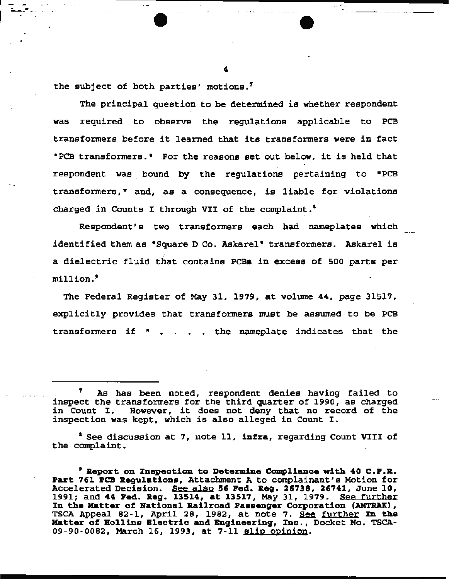the subject of both parties' motions.'

The principal question to be determined is whether respondent was required to observe the regulations applicable to PCB transformers before it learned that its transformers were in fact •PCB transformers." For the reasons set out below, it is held that respondent was bound by the regulations pertaining to •PCB transformers," and, as a consequence, is liable for violations charged in Counts I through VII of the complaint.<sup>1</sup>

Respondent's two transformers each had nameplates which identified them as "Square D Co. Askarel" transformers. Askarel is a dielectric fluid that contains PCBs in excess of 500 parts per million.<sup>9</sup>

The Federal Register of May 31, 1979, at volume 44, page 31517, explicitly provides that transformers must be assumed to be PCB transformers if  $"$  . . . the nameplate indicates that the

<sup>1</sup> See discussion at 7, note 11, infra, regarding Count VIII of the complaint.

4

--. ·--·-- ---·

As has been noted, respondent denies having failed to inspect the transformers for the third quarter of 1990, as charged inspect the transformers for the third quarter of 1990, as charged<br>in Count I. However, it does not deny that no record of the in Count I. However, it does not deny that no record of the inspection was kept, which is also alleged in Count I.

 $9$  Report on Inepection to Determine Compliance with 40 C.F.R. Part 761 PCB Regulations, Attachment A to complainant's Motion for Accelerated Decision. See also 56 Fed. Reg. 26738, 26741, June 10, Accelerated Decision. See also 56 Fed. Aeg. 26736, 26741, Sune 10,<br>1991; and 44 Ped. Reg. 13514, at 13517, May 31, 1979. <u>See further</u> In the Matter of National Railroad Passenger Corporation (AMTRAK), In the Matter of National Railroad Passenger Corporation (AMTRAK),<br>TSCA Appeal 82-1, April 28, 1982, at note 7. <u>See further</u> In the Matter of Hollins Blectric and Engineering, Inc., Docket No. TSCA-09-90-0082, March 16, 1993, at 7-11 slip opinion.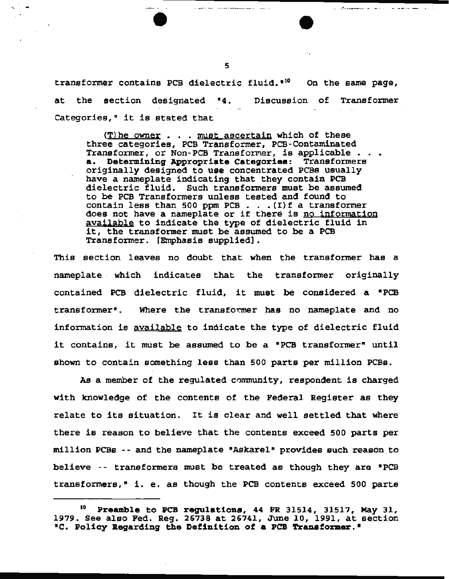transformer contains PCB dielectric fluid.  $10$  On the same page, at the section designated "4. Discussion of Transformer Categories," it is stated that

 $(T)$ he owner  $\ldots$  must ascertain which of these three categories, PCB Transformer, PCB-Contaminated Transformer, or Non-PCB Transformer, is applicable  $\cdots$ a. Determining Appropriate Categories: Transformers originally designed to use concentrated PCBs usually have a nameplate indicating that they contain PCB dielectric fluid. Such transformers must be assumed to be PCB Transformers unless tested and found to contain less than 500 ppm PCB  $\ldots$  . (I)f a transformer does not have a nameplate or if there is no information available to indicate the type of dielectric fluid in it, the transformer must be assumed to be a PCB Transformer. [Emphasis supplied].

This section leaves no doubt that when the transformer has a nameplate which indicates that the transformer originally contained PCB dielectric fluid, it must be considered a "PCB transformer". Where the transformer has no nameplate and no information is available to indicate the type of dielectric fluid it contains, it must be assumed to be a "PCB transformer" until shown to contain something less than 500 parts per million PCBs.

As a member of the regulated community, respondent is charged with knowledge of the contents of the Federal Register as they relate to its situation. It is clear and well settled that where there is reason to believe that the contents exceed 500 parts per million PCBs -- and the nameplate "Askarel" provides such reason to believe -- transformers must be treated as though they are "PCB transformers,• i. e. as though the PCB contents exceed 500 parts

5

والمتفاد المتعطف وتستنفسهم وتستمرها

المن المنافس المن المستقل المنافس التي التي

أأرداس المساعدها والمساعد

<sup>10</sup> Preamble to PCB regulations, 44 PR 31514, 31517, May 31, 1979. See also Fed. Reg. 26738 at 26741, June 10, 1991, at section *•c.* Policy Regarding the Definition of a PCB Transfor.mer."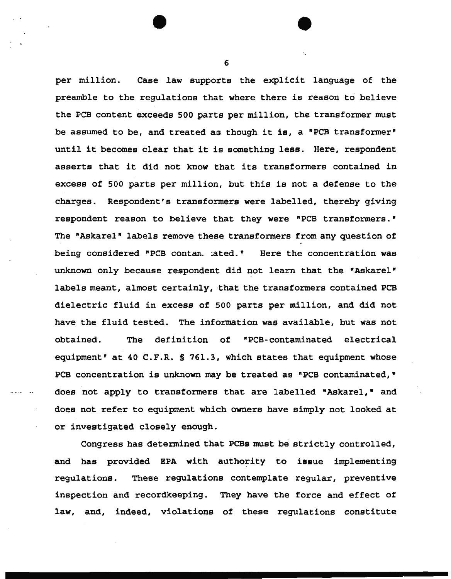per million. Case law supports the explicit language of the preamble to the regulations that where there is reason to believe the PCB content exceeds 500 parts per million, the transformer must be assumed to be, and treated aa though it is, a "PCB transformer" until it becomes clear that it is something less. Here, respondent asserts that it did not know that its transformers contained in excess of 500 parts per million, but this is not a defense to the charges. Respondent's transformers were labelled, thereby giving respondent reason to believe that they were "PCB transformers." The "Askarel" labels remove these transformers from any question of being considered "PCB contan. : ated." Here the concentration was unknown only because respondent did not learn that the "Askarel" labels meant, almost certainly, that the transformers contained PCB dielectric fluid in excess of 500 parts per million, and did not have the fluid tested. The information was available, but was not obtained. The definition of "PCB-contaminated electrical equipment" at 40 C.F.R. § 761.3, which states that equipment whose PCB concentration is unknown may be treated as "PCB contaminated," does not apply to transformers that are labelled "Askarel," and does not refer to equipment which owners have simply not looked at or investigated closely enough.

Congress has determined that PCBs must be strictly controlled, and has provided EPA with authority to issue implementing regulations. These regulations contemplate regular, preventive inspection and recordkeeping. They have the force and effect of law, and, indeed, violations of these regulations constitute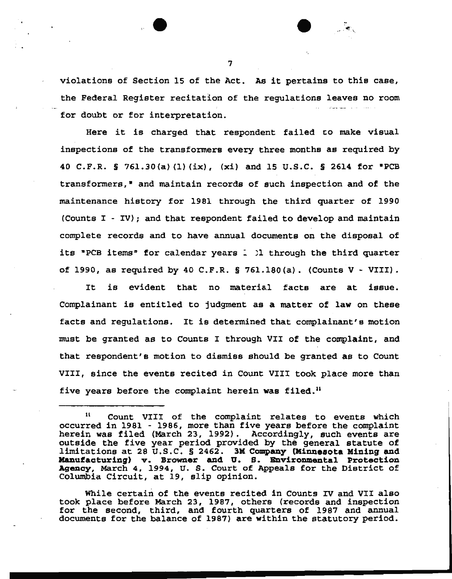violations of Section 15 of the Act. As it pertains to this case, the Federal Register recitation of the regulations leaves no room for doubt or for interpretation.

Here it is charged that respondent failed *co* make visual inspections of the transformers every three months as required by 40 C.F.R. § 761.30{a) (1) (ix), (xi) and 15 u.s.c. § 2614 for •pes transformers,<sup>\*</sup> and maintain records of such inspection and of the maintenance history for 1981 through the third quarter of 1990 (Counts I- IV); and that respondent failed to develop and maintain complete records and to have annual documents on the disposal of its "PCB items" for calendar years 1 11 through the third quarter of 1990, as required by 40 C.F.R. § 761.180(a). (Counts  $V - VIII$ ).

It is evident that no material facts are at issue. Complainant is entitled to judgment as a matter of law on these facts and regulations. It is determined that complainant's motion must be granted as to Counts I through VII of the complaint, and that respondent's motion to dismiss should be granted as to Count VIII, since the events recited in Count VIII took place more than five years before the complaint herein was filed.<sup>11</sup>

While certain of the events recited in Counts IV and VII also took place before March 23, 1987, others (records and inspection for the second, third, and fourth quarters of 1987 and annual documents for the balance of 1987) are within the statutory period.

<sup>11</sup> Count VIII of the complaint relates to events which occurred in 1981 - 1986, more than five years before the complaint herein was filed (March 23, 1992). Accordingly, such events are outside the five year period provided by the general statute of limitations at 28 u.s.c. § 2462. 3M Company (Minnesota Mining and Manufacturing) v. Browner and U. S. Bnvironmental Protection Agency, March 4, 1994, u. S. Court of Appeals for the District of Columbia Circuit, at 19, slip opinion.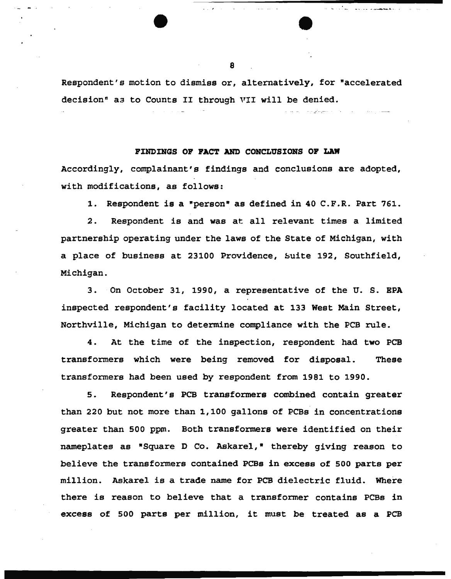Respondent's motion to dismiss or, alternatively, for "accelerated decision" aa to Counts II through VII will be denied.

### PINDINGS OP PACT AND CONCLUSIONS OP LAW

Accordingly, complainant's findings and conclusions are adopted, with modifications, as follows:

1. Respondent is a "person" as defined in 40 C.F.R. Part 761.

2. Respondent is and was at all relevant times a limited partnership operating under the laws of the State of Michigan, with a place of business at 23100 Providence, buite 192, Southfield, Michigan.

3. On October 31, 1990, a representative of the U. S. EPA inspected respondent's facility located at 133 West Main Street, Northville, Michigan to determine compliance with the PCB rule.

4. At the time of the inspection, respondent had two PCB transformers which were being removed for disposal. These transformers had been used by respondent from 1981 to 1990.

5. Respondent's PCB transformers combined contain greater than 220 but not more than 1,100 gallons of PCBs in concentrations greater than 500 ppm. Both transformers were identified on their nameplates as "Square D Co. Askarel,• thereby giving reason to believe the transformers contained PCBs in excess of 500 parts per million. Askarel is a trade name for PCB dielectric fluid. Where there is reason to believe that a transformer contains PCBs in excess of 500 parts per million, it must be treated as a PCB

................................. \_\_\_\_\_\_\_\_\_\_\_\_\_\_ \_

*Contractor Commission Article*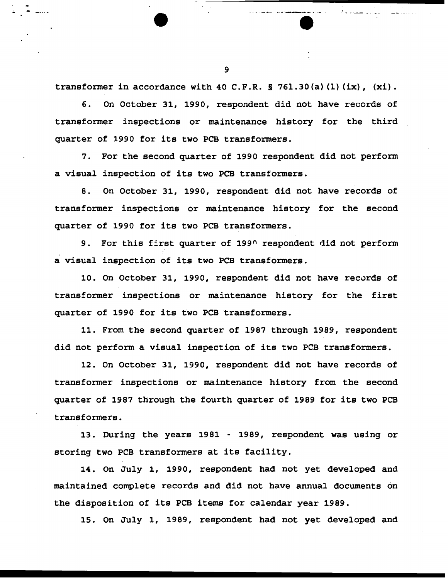transformer in accordance with 40 C.F.R.  $\S$  761.30(a)(1)(ix), (xi).

6. On October 31, 1990, respondent did not have records of transformer inspections or maintenance history for the third quarter of 1990 for its two PCB transformers.

7. For the second quarter of 1990 respondent did not perform a visual inspection of its two PCB transformers.

8. On October 31, 1990, respondent did not have records of transformer inspections or maintenance history for the second quarter of 1990 for its two PCB transformers.

9. For this first quarter of  $199^{\circ}$  respondent did not perform a visual inspection of its two PCB transformers.

10. On October 31, 1990, respondent did not have records of transformer inspections or maintenance history for the first quarter of 1990 for its two PCB transformers.

11. From the second quarter of 1987 through 1989, respondent did not perform a visual inspection of its two PCB transformers.

12. On October 31, 1990, respondent did not have records of transformer inspections or maintenance history from the second quarter of 1987 through the fourth quarter of 1989 for its two PCB transformers.

13. During the years 1981 - 1989, respondent was using or storing two PCB transformers at its facility.

14. on July 1, 1990, respondent had not yet developed and maintained complete records and did not have annual documents on the disposition of its PCB items for calendar year 1989.

15. On July 1, 1989, respondent had not yet developed and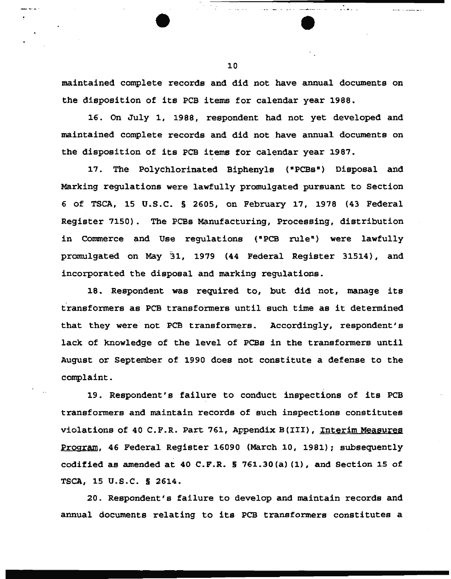maintained complete records and did not have annual documents on the disposition of its PCB items for calendar year 1988.

16. On July 1, 1988, respondent had not yet developed and maintained complete records and did not have annual documents on the disposition of its PCB items for calendar year 1987.

17. The Polychlorinated Biphenyls ("PCBs") Disposal and Marking regulations were lawfully promulgated pursuant to Section 6 of TSCA, 15 U.S.C. § 2605, on February 17, 1978 (43 Federal Register 7150). The PCBs Manufacturing, Processing, distribution in Commerce and Use regulations (•PCB rule") were lawfully promulgated on May '31, 1979 (44 Federal Register 31514), and incorporated the disposal and marking regulations.

18. Respondent was required to, but did not, manage its transformers as PCB transformers until such time as it determined that they were not PCB transformers. Accordingly, respondent's lack of knowledge of the level of PCBs in the transformers until August or September of 1990 does not constitute a defense to the complaint.

19. Respondent's failure to conduct inspections of its PCB transformers and maintain records of such inspections constitutes violations of 40 C.F.R. Part 761, Appendix B(III), Interim Measures Program, 46 Federal Register 16090 (March 10, 1981); subsequently codified as amended at 40 C.P.R.§ 761.30(a) (1), and Section 15 of TSCA, 15 U.S.C. § 2614.

20. Respondent's failure to develop and maintain records and annual documents relating to its PCB transformers constitutes a

10

.

مندان دام منظمست بعياد شرابت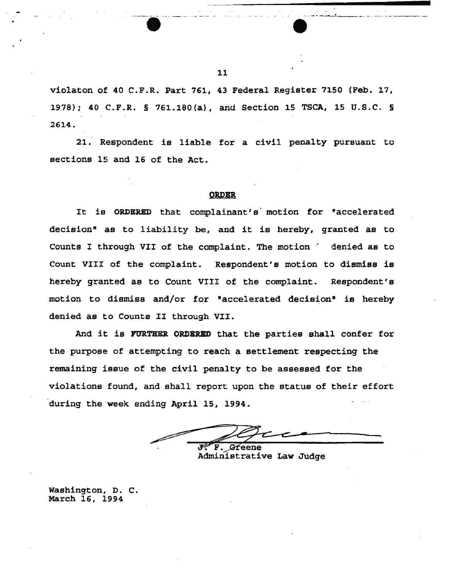

21. Respondent is liable for a civil penalty pursuant to sections 15 and 16 of the Act.

#### **ORDER**

It is ORDERED that complainant's' motion for "accelerated decision" as to liability be, and it is hereby, granted as to Counts I through VII of the complaint. The motion ' denied as to Count VIII of the complaint. Respondent's motion to dismiss is hereby granted as to Count VIII of the complaint. Respondent's motion to dismiss and/or for "accelerated decision" is hereby denied as to Counts II through VII.

And it is FURTHER ORDERED that the parties shall confer for the purpose of attempting to reach a settlement respecting the remaining issue of the civil penalty to be assessed for the violations found, and shall report upon the status of their effort during the week ending April 15, 1994.

The F. Greene<br>Administrative Law Judge

Washington, D. c. March 16, 1994

--.------· ------ ·· - -··--....!-.\_ \_\_ - ·-- ·-- ··----

•<br>•